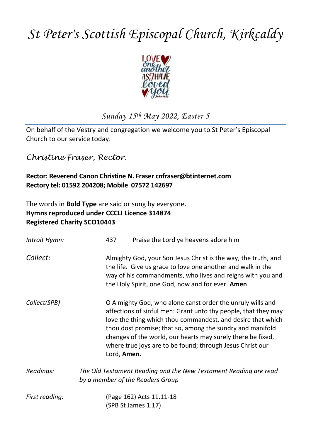# *St Peter's Scottish Episcopal Church, Kirkcaldy*



# *Sunday 15th May 2022, Easter 5*

On behalf of the Vestry and congregation we welcome you to St Peter's Episcopal Church to our service today.

*Christine Fraser, Rector.*

# **Rector: Reverend Canon Christine N. Fraser cnfraser@btinternet.com Rectory tel: 01592 204208; Mobile 07572 142697**

The words in **Bold Type** are said or sung by everyone. **Hymns reproduced under CCCLI Licence 314874 Registered Charity SCO10443**

| Introit Hymn:  | 437                                                                                                  | Praise the Lord ye heavens adore him                                                                                                                                                                                                                                                                                                                                                 |  |
|----------------|------------------------------------------------------------------------------------------------------|--------------------------------------------------------------------------------------------------------------------------------------------------------------------------------------------------------------------------------------------------------------------------------------------------------------------------------------------------------------------------------------|--|
| Collect:       |                                                                                                      | Almighty God, your Son Jesus Christ is the way, the truth, and<br>the life. Give us grace to love one another and walk in the<br>way of his commandments, who lives and reigns with you and<br>the Holy Spirit, one God, now and for ever. Amen                                                                                                                                      |  |
| Collect(SPB)   | Lord, Amen.                                                                                          | O Almighty God, who alone canst order the unruly wills and<br>affections of sinful men: Grant unto thy people, that they may<br>love the thing which thou commandest, and desire that which<br>thou dost promise; that so, among the sundry and manifold<br>changes of the world, our hearts may surely there be fixed,<br>where true joys are to be found; through Jesus Christ our |  |
| Readings:      | The Old Testament Reading and the New Testament Reading are read<br>by a member of the Readers Group |                                                                                                                                                                                                                                                                                                                                                                                      |  |
| First reading: |                                                                                                      | (Page 162) Acts 11.11-18<br>(SPB St James 1.17)                                                                                                                                                                                                                                                                                                                                      |  |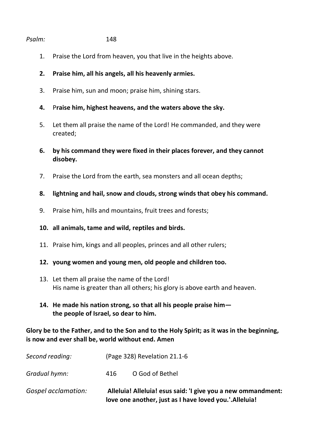### *Psalm:* 148

- 1. Praise the Lord from heaven, you that live in the heights above.
- **2. Praise him, all his angels, all his heavenly armies.**
- 3. Praise him, sun and moon; praise him, shining stars.
- **4.** P**raise him, highest heavens, and the waters above the sky.**
- 5. Let them all praise the name of the Lord! He commanded, and they were created;
- **6. by his command they were fixed in their places forever, and they cannot disobey.**
- 7. Praise the Lord from the earth, sea monsters and all ocean depths;
- **8. lightning and hail, snow and clouds, strong winds that obey his command.**
- 9. Praise him, hills and mountains, fruit trees and forests;
- **10. all animals, tame and wild, reptiles and birds.**
- 11. Praise him, kings and all peoples, princes and all other rulers;
- **12. young women and young men, old people and children too.**
- 13. Let them all praise the name of the Lord! His name is greater than all others; his glory is above earth and heaven.
- **14. He made his nation strong, so that all his people praise him the people of Israel, so dear to him.**

## **Glory be to the Father, and to the Son and to the Holy Spirit; as it was in the beginning, is now and ever shall be, world without end. Amen**

| Gospel acclamation: | Alleluia! Alleluia! esus said: 'I give you a new ommandment:<br>love one another, just as I have loved you.'.Alleluia! |                              |
|---------------------|------------------------------------------------------------------------------------------------------------------------|------------------------------|
| Gradual hymn:       | 416                                                                                                                    | O God of Bethel              |
| Second reading:     |                                                                                                                        | (Page 328) Revelation 21.1-6 |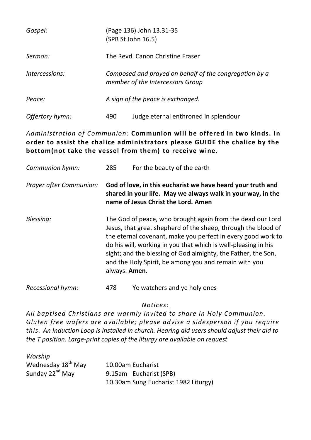| Gospel:         | (Page 136) John 13.31-35<br>(SPB St John 16.5)                                             |  |
|-----------------|--------------------------------------------------------------------------------------------|--|
| Sermon:         | The Revd Canon Christine Fraser                                                            |  |
| Intercessions:  | Composed and prayed on behalf of the congregation by a<br>member of the Intercessors Group |  |
| Peace:          | A sign of the peace is exchanged.                                                          |  |
| Offertory hymn: | Judge eternal enthroned in splendour<br>490                                                |  |

# *Administration of Communion:* **Communion will be offered in two kinds. In order to assist the chalice administrators please GUIDE the chalice by the bottom(not take the vessel from them) to receive wine.**

| Communion hymn:         | 285                                                                                                                                                                                                                                                                                                                                                                                                      | For the beauty of the earth                                                                                                                                       |
|-------------------------|----------------------------------------------------------------------------------------------------------------------------------------------------------------------------------------------------------------------------------------------------------------------------------------------------------------------------------------------------------------------------------------------------------|-------------------------------------------------------------------------------------------------------------------------------------------------------------------|
| Prayer after Communion: |                                                                                                                                                                                                                                                                                                                                                                                                          | God of love, in this eucharist we have heard your truth and<br>shared in your life. May we always walk in your way, in the<br>name of Jesus Christ the Lord. Amen |
| Blessing:               | The God of peace, who brought again from the dead our Lord<br>Jesus, that great shepherd of the sheep, through the blood of<br>the eternal covenant, make you perfect in every good work to<br>do his will, working in you that which is well-pleasing in his<br>sight; and the blessing of God almighty, the Father, the Son,<br>and the Holy Spirit, be among you and remain with you<br>always. Amen. |                                                                                                                                                                   |
| Recessional hymn:       | 478                                                                                                                                                                                                                                                                                                                                                                                                      | Ye watchers and ye holy ones                                                                                                                                      |

### *Notices:*

*All baptised Christians are warmly invited to share in Holy Communion. Gluten free wafers are available; please advise a sidesperson if you require this. An Induction Loop is installed in church. Hearing aid users should adjust their aid to the T position. Large-print copies of the liturgy are available on request*

| Worship                        |                                      |
|--------------------------------|--------------------------------------|
| Wednesday 18 <sup>th</sup> May | 10.00am Eucharist                    |
| Sunday 22 <sup>nd</sup> May    | 9.15am Eucharist (SPB)               |
|                                | 10.30am Sung Eucharist 1982 Liturgy) |